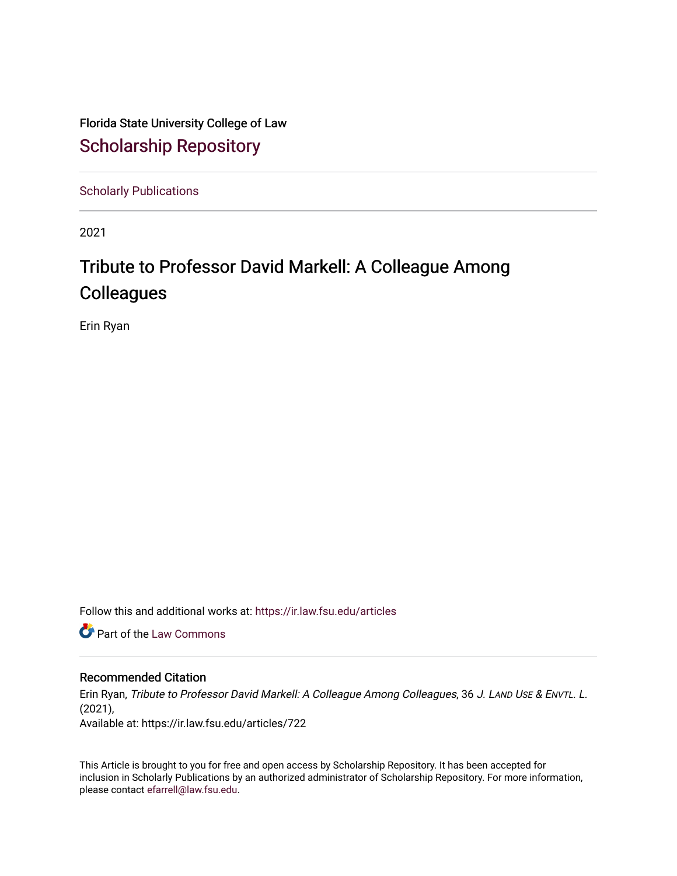Florida State University College of Law [Scholarship Repository](https://ir.law.fsu.edu/) 

[Scholarly Publications](https://ir.law.fsu.edu/articles) 

2021

# Tribute to Professor David Markell: A Colleague Among **Colleagues**

Erin Ryan

Follow this and additional works at: [https://ir.law.fsu.edu/articles](https://ir.law.fsu.edu/articles?utm_source=ir.law.fsu.edu%2Farticles%2F722&utm_medium=PDF&utm_campaign=PDFCoverPages) 

**C** Part of the [Law Commons](https://network.bepress.com/hgg/discipline/578?utm_source=ir.law.fsu.edu%2Farticles%2F722&utm_medium=PDF&utm_campaign=PDFCoverPages)

### Recommended Citation

Erin Ryan, Tribute to Professor David Markell: A Colleague Among Colleagues, 36 J. LAND USE & ENVTL. L. (2021),

Available at: https://ir.law.fsu.edu/articles/722

This Article is brought to you for free and open access by Scholarship Repository. It has been accepted for inclusion in Scholarly Publications by an authorized administrator of Scholarship Repository. For more information, please contact [efarrell@law.fsu.edu.](mailto:efarrell@law.fsu.edu)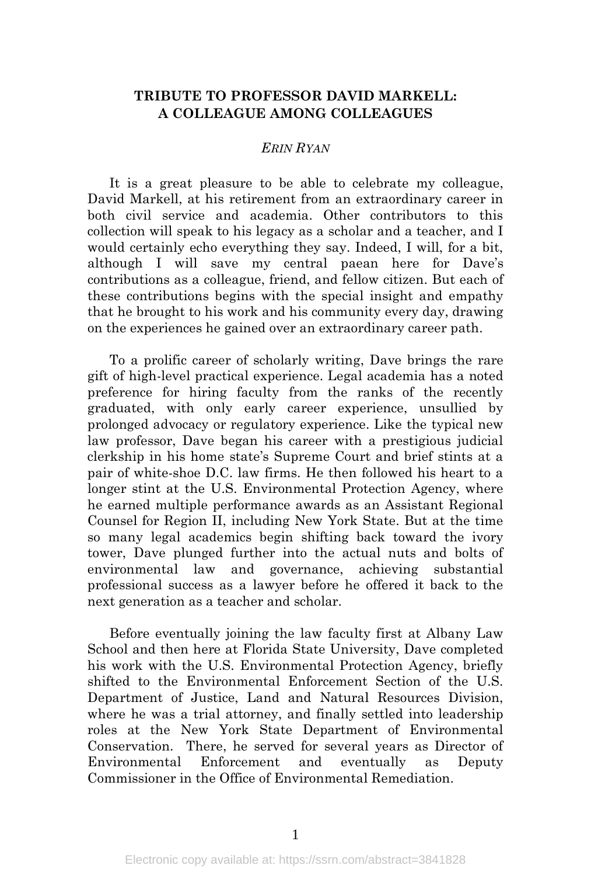# **TRIBUTE TO PROFESSOR DAVID MARKELL: A COLLEAGUE AMONG COLLEAGUES**

## *ERIN RYAN*

It is a great pleasure to be able to celebrate my colleague, David Markell, at his retirement from an extraordinary career in both civil service and academia. Other contributors to this collection will speak to his legacy as a scholar and a teacher, and I would certainly echo everything they say. Indeed, I will, for a bit, although I will save my central paean here for Dave's contributions as a colleague, friend, and fellow citizen. But each of these contributions begins with the special insight and empathy that he brought to his work and his community every day, drawing on the experiences he gained over an extraordinary career path.

To a prolific career of scholarly writing, Dave brings the rare gift of high-level practical experience. Legal academia has a noted preference for hiring faculty from the ranks of the recently graduated, with only early career experience, unsullied by prolonged advocacy or regulatory experience. Like the typical new law professor, Dave began his career with a prestigious judicial clerkship in his home state's Supreme Court and brief stints at a pair of white-shoe D.C. law firms. He then followed his heart to a longer stint at the U.S. Environmental Protection Agency, where he earned multiple performance awards as an Assistant Regional Counsel for Region II, including New York State. But at the time so many legal academics begin shifting back toward the ivory tower, Dave plunged further into the actual nuts and bolts of environmental law and governance, achieving substantial professional success as a lawyer before he offered it back to the next generation as a teacher and scholar.

Before eventually joining the law faculty first at Albany Law School and then here at Florida State University, Dave completed his work with the U.S. Environmental Protection Agency, briefly shifted to the Environmental Enforcement Section of the U.S. Department of Justice, Land and Natural Resources Division, where he was a trial attorney, and finally settled into leadership roles at the New York State Department of Environmental Conservation. There, he served for several years as Director of Environmental Enforcement and eventually as Deputy Commissioner in the Office of Environmental Remediation.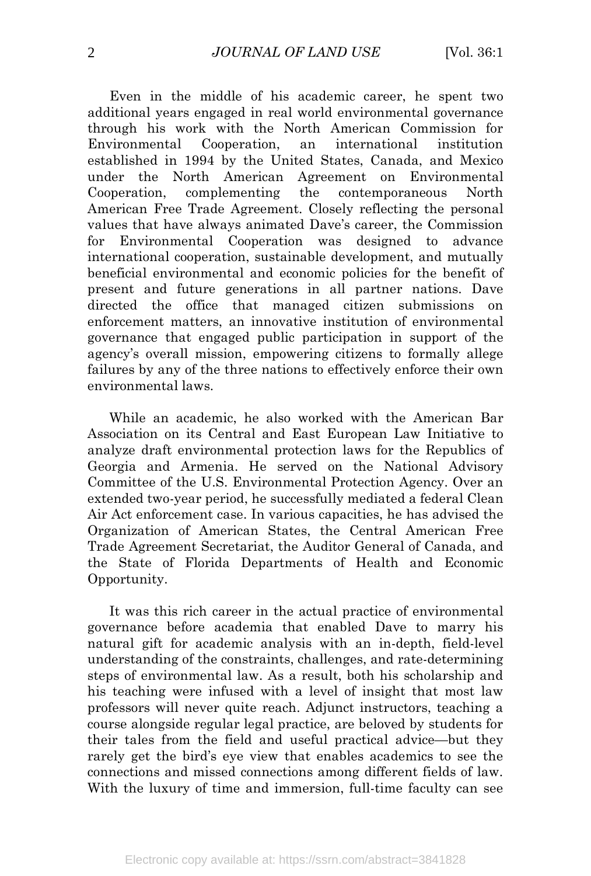Even in the middle of his academic career, he spent two additional years engaged in real world environmental governance through his work with the North American Commission for Environmental Cooperation, an international institution established in 1994 by the United States, Canada, and Mexico under the North American Agreement on Environmental Cooperation, complementing the contemporaneous North American Free Trade Agreement. Closely reflecting the personal values that have always animated Dave's career, the Commission for Environmental Cooperation was designed to advance international cooperation, sustainable development, and mutually beneficial environmental and economic policies for the benefit of present and future generations in all partner nations. Dave directed the office that managed citizen submissions on enforcement matters, an innovative institution of environmental governance that engaged public participation in support of the agency's overall mission, empowering citizens to formally allege failures by any of the three nations to effectively enforce their own environmental laws.

While an academic, he also worked with the American Bar Association on its Central and East European Law Initiative to analyze draft environmental protection laws for the Republics of Georgia and Armenia. He served on the National Advisory Committee of the U.S. Environmental Protection Agency. Over an extended two-year period, he successfully mediated a federal Clean Air Act enforcement case. In various capacities, he has advised the Organization of American States, the Central American Free Trade Agreement Secretariat, the Auditor General of Canada, and the State of Florida Departments of Health and Economic Opportunity.

It was this rich career in the actual practice of environmental governance before academia that enabled Dave to marry his natural gift for academic analysis with an in-depth, field-level understanding of the constraints, challenges, and rate-determining steps of environmental law. As a result, both his scholarship and his teaching were infused with a level of insight that most law professors will never quite reach. Adjunct instructors, teaching a course alongside regular legal practice, are beloved by students for their tales from the field and useful practical advice—but they rarely get the bird's eye view that enables academics to see the connections and missed connections among different fields of law. With the luxury of time and immersion, full-time faculty can see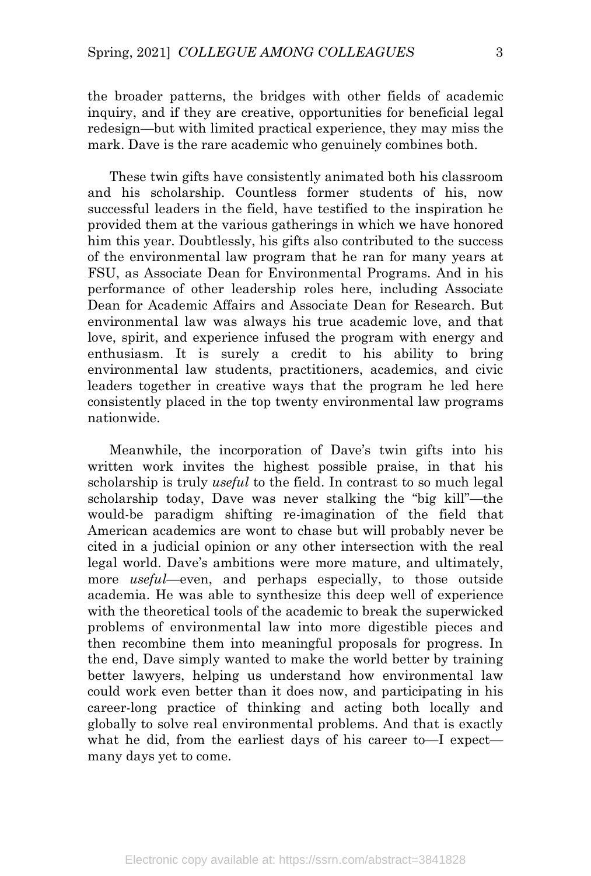the broader patterns, the bridges with other fields of academic inquiry, and if they are creative, opportunities for beneficial legal redesign—but with limited practical experience, they may miss the mark. Dave is the rare academic who genuinely combines both.

These twin gifts have consistently animated both his classroom and his scholarship. Countless former students of his, now successful leaders in the field, have testified to the inspiration he provided them at the various gatherings in which we have honored him this year. Doubtlessly, his gifts also contributed to the success of the environmental law program that he ran for many years at FSU, as Associate Dean for Environmental Programs. And in his performance of other leadership roles here, including Associate Dean for Academic Affairs and Associate Dean for Research. But environmental law was always his true academic love, and that love, spirit, and experience infused the program with energy and enthusiasm. It is surely a credit to his ability to bring environmental law students, practitioners, academics, and civic leaders together in creative ways that the program he led here consistently placed in the top twenty environmental law programs nationwide.

Meanwhile, the incorporation of Dave's twin gifts into his written work invites the highest possible praise, in that his scholarship is truly *useful* to the field. In contrast to so much legal scholarship today, Dave was never stalking the "big kill"—the would-be paradigm shifting re-imagination of the field that American academics are wont to chase but will probably never be cited in a judicial opinion or any other intersection with the real legal world. Dave's ambitions were more mature, and ultimately, more *useful*—even, and perhaps especially, to those outside academia. He was able to synthesize this deep well of experience with the theoretical tools of the academic to break the superwicked problems of environmental law into more digestible pieces and then recombine them into meaningful proposals for progress. In the end, Dave simply wanted to make the world better by training better lawyers, helping us understand how environmental law could work even better than it does now, and participating in his career-long practice of thinking and acting both locally and globally to solve real environmental problems. And that is exactly what he did, from the earliest days of his career to—I expect many days yet to come.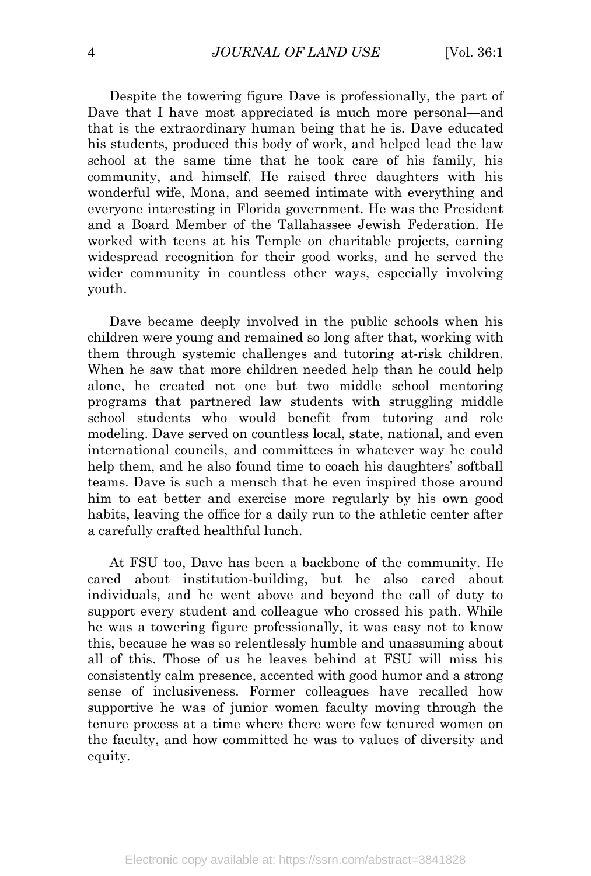Despite the towering figure Dave is professionally, the part of Dave that I have most appreciated is much more personal—and that is the extraordinary human being that he is. Dave educated his students, produced this body of work, and helped lead the law school at the same time that he took care of his family, his community, and himself. He raised three daughters with his wonderful wife, Mona, and seemed intimate with everything and everyone interesting in Florida government. He was the President and a Board Member of the Tallahassee Jewish Federation. He worked with teens at his Temple on charitable projects, earning widespread recognition for their good works, and he served the wider community in countless other ways, especially involving youth.

Dave became deeply involved in the public schools when his children were young and remained so long after that, working with them through systemic challenges and tutoring at-risk children. When he saw that more children needed help than he could help alone, he created not one but two middle school mentoring programs that partnered law students with struggling middle school students who would benefit from tutoring and role modeling. Dave served on countless local, state, national, and even international councils, and committees in whatever way he could help them, and he also found time to coach his daughters' softball teams. Dave is such a mensch that he even inspired those around him to eat better and exercise more regularly by his own good habits, leaving the office for a daily run to the athletic center after a carefully crafted healthful lunch.

At FSU too, Dave has been a backbone of the community. He cared about institution-building, but he also cared about individuals, and he went above and beyond the call of duty to support every student and colleague who crossed his path. While he was a towering figure professionally, it was easy not to know this, because he was so relentlessly humble and unassuming about all of this. Those of us he leaves behind at FSU will miss his consistently calm presence, accented with good humor and a strong sense of inclusiveness. Former colleagues have recalled how supportive he was of junior women faculty moving through the tenure process at a time where there were few tenured women on the faculty, and how committed he was to values of diversity and equity.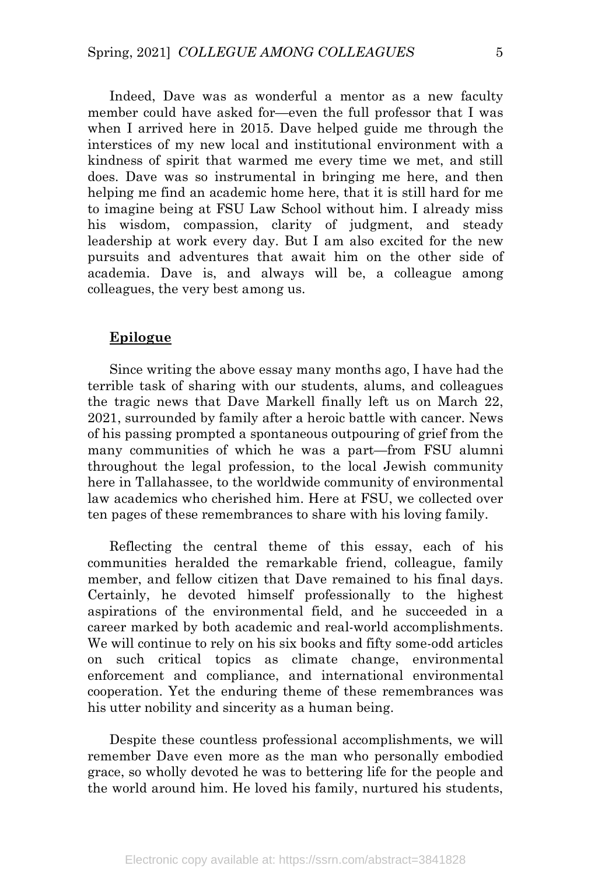Indeed, Dave was as wonderful a mentor as a new faculty member could have asked for—even the full professor that I was when I arrived here in 2015. Dave helped guide me through the interstices of my new local and institutional environment with a kindness of spirit that warmed me every time we met, and still does. Dave was so instrumental in bringing me here, and then helping me find an academic home here, that it is still hard for me to imagine being at FSU Law School without him. I already miss his wisdom, compassion, clarity of judgment, and steady leadership at work every day. But I am also excited for the new pursuits and adventures that await him on the other side of academia. Dave is, and always will be, a colleague among colleagues, the very best among us.

#### **Epilogue**

Since writing the above essay many months ago, I have had the terrible task of sharing with our students, alums, and colleagues the tragic news that Dave Markell finally left us on March 22, 2021, surrounded by family after a heroic battle with cancer. News of his passing prompted a spontaneous outpouring of grief from the many communities of which he was a part—from FSU alumni throughout the legal profession, to the local Jewish community here in Tallahassee, to the worldwide community of environmental law academics who cherished him. Here at FSU, we collected over ten pages of these remembrances to share with his loving family.

Reflecting the central theme of this essay, each of his communities heralded the remarkable friend, colleague, family member, and fellow citizen that Dave remained to his final days. Certainly, he devoted himself professionally to the highest aspirations of the environmental field, and he succeeded in a career marked by both academic and real-world accomplishments. We will continue to rely on his six books and fifty some-odd articles on such critical topics as climate change, environmental enforcement and compliance, and international environmental cooperation. Yet the enduring theme of these remembrances was his utter nobility and sincerity as a human being.

Despite these countless professional accomplishments, we will remember Dave even more as the man who personally embodied grace, so wholly devoted he was to bettering life for the people and the world around him. He loved his family, nurtured his students,